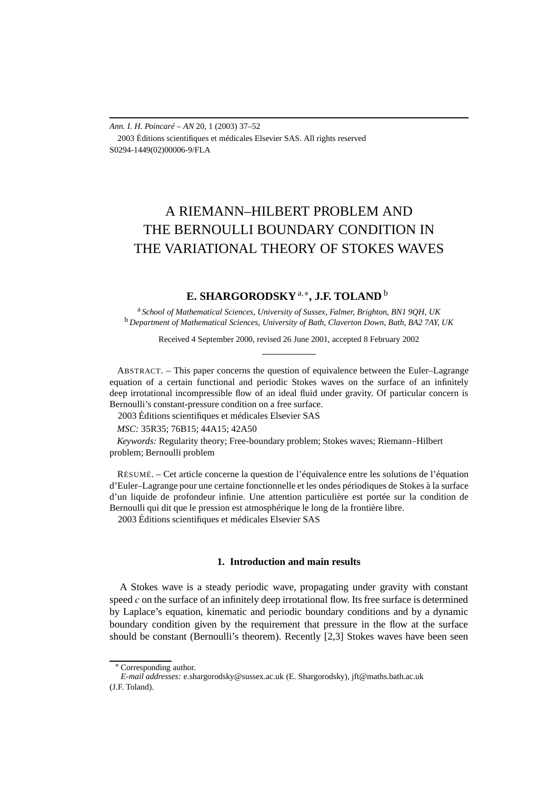*Ann. I. H. Poincaré – AN* 20, 1 (2003) 37–52 2003 Éditions scientifiques et médicales Elsevier SAS. All rights reserved S0294-1449(02)00006-9/FLA

# A RIEMANN–HILBERT PROBLEM AND THE BERNOULLI BOUNDARY CONDITION IN THE VARIATIONAL THEORY OF STOKES WAVES

# **E. SHARGORODSKY**a*,*∗**, J.F. TOLAND** <sup>b</sup>

<sup>a</sup> *School of Mathematical Sciences, University of Sussex, Falmer, Brighton, BN1 9QH, UK* <sup>b</sup> *Department of Mathematical Sciences, University of Bath, Claverton Down, Bath, BA2 7AY, UK*

Received 4 September 2000, revised 26 June 2001, accepted 8 February 2002

ABSTRACT. – This paper concerns the question of equivalence between the Euler–Lagrange equation of a certain functional and periodic Stokes waves on the surface of an infinitely deep irrotational incompressible flow of an ideal fluid under gravity. Of particular concern is Bernoulli's constant-pressure condition on a free surface.

2003 Éditions scientifiques et médicales Elsevier SAS

*MSC:* 35R35; 76B15; 44A15; 42A50

*Keywords:* Regularity theory; Free-boundary problem; Stokes waves; Riemann–Hilbert problem; Bernoulli problem

RÉSUMÉ. – Cet article concerne la question de l'équivalence entre les solutions de l'équation d'Euler–Lagrange pour une certaine fonctionnelle et les ondes périodiques de Stokes à la surface d'un liquide de profondeur infinie. Une attention particulière est portée sur la condition de Bernoulli qui dit que le pression est atmosphérique le long de la frontière libre. 2003 Éditions scientifiques et médicales Elsevier SAS

# **1. Introduction and main results**

A Stokes wave is a steady periodic wave, propagating under gravity with constant speed *c* on the surface of an infinitely deep irrotational flow. Its free surface is determined by Laplace's equation, kinematic and periodic boundary conditions and by a dynamic boundary condition given by the requirement that pressure in the flow at the surface should be constant (Bernoulli's theorem). Recently [2,3] Stokes waves have been seen

<sup>∗</sup> Corresponding author.

*E-mail addresses:* e.shargorodsky@sussex.ac.uk (E. Shargorodsky), jft@maths.bath.ac.uk (J.F. Toland).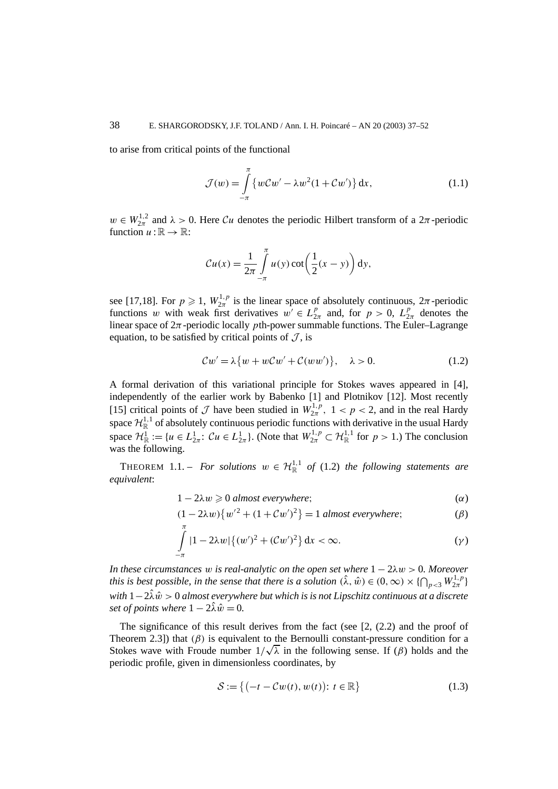to arise from critical points of the functional

$$
\mathcal{J}(w) = \int\limits_{-\pi}^{\pi} \left\{ w\mathcal{C}w' - \lambda w^2(1 + \mathcal{C}w') \right\} dx, \tag{1.1}
$$

 $w \in W_{2\pi}^{1,2}$  and  $\lambda > 0$ . Here Cu denotes the periodic Hilbert transform of a  $2\pi$ -periodic function  $u:\mathbb{R}\to\mathbb{R}$ :

$$
Cu(x) = \frac{1}{2\pi} \int_{-\pi}^{\pi} u(y) \cot\left(\frac{1}{2}(x-y)\right) dy,
$$

see [17,18]. For  $p \ge 1$ ,  $W_{2\pi}^{1,p}$  is the linear space of absolutely continuous,  $2\pi$ -periodic functions *w* with weak first derivatives  $w' \in L_{2\pi}^p$  and, for  $p > 0$ ,  $L_{2\pi}^p$  denotes the linear space of  $2\pi$ -periodic locally *p*th-power summable functions. The Euler–Lagrange equation, to be satisfied by critical points of  $\mathcal{J}$ , is

$$
Cw' = \lambda \{ w + wCw' + C(ww') \}, \quad \lambda > 0. \tag{1.2}
$$

A formal derivation of this variational principle for Stokes waves appeared in [4], independently of the earlier work by Babenko [1] and Plotnikov [12]. Most recently [15] critical points of  $\mathcal J$  have been studied in  $W_{2\pi}^{1,p}$ ,  $1 < p < 2$ , and in the real Hardy space  $\mathcal{H}_{\mathbb{R}}^{1,1}$  of absolutely continuous periodic functions with derivative in the usual Hardy space  $\mathcal{H}^1_{\mathbb{R}} := \{u \in L^1_{2\pi} : \mathcal{C}u \in L^1_{2\pi}\}$ . (Note that  $W^{1,p}_{2\pi} \subset \mathcal{H}^{1,1}_{\mathbb{R}}$  for  $p > 1$ .) The conclusion was the following.

THEOREM 1.1. – *For solutions*  $w \in \mathcal{H}_{\mathbb{R}}^{1,1}$  of (1.2) the following statements are *equivalent*:

$$
1 - 2\lambda w \geq 0 \text{ almost everywhere};
$$

$$
(1 - 2\lambda w)\{w'^2 + (1 + Cw')^2\} = 1 \text{ almost everywhere};
$$
 (β)

$$
\int_{-\pi}^{\pi} |1 - 2\lambda w| \{ (w')^{2} + (\mathcal{C}w')^{2} \} \, \mathrm{d}x < \infty. \tag{1}
$$

*In these circumstances w is real-analytic on the open set where* 1 − 2*λw >* 0*. Moreover this is best possible, in the sense that there is a solution*  $(\hat{\lambda}, \hat{w}) \in (0, \infty) \times \{\bigcap_{p<3} W_{2\pi}^{1,p}\}\$ *with* 1−2*λ*ˆ*w >*ˆ 0 *almost everywhere but which is is not Lipschitz continuous at a discrete set of points where*  $1 - 2\hat{\lambda}\hat{w} = 0$ .

The significance of this result derives from the fact (see  $[2, (2, 2)$ ) and the proof of Theorem 2.3]) that  $(\beta)$  is equivalent to the Bernoulli constant-pressure condition for a Theorem 2.3]) that (*β*) is equivalent to the Bernoulli constant-pressure condition for a Stokes wave with Froude number  $1/\sqrt{\lambda}$  in the following sense. If (*β*) holds and the periodic profile, given in dimensionless coordinates, by

$$
\mathcal{S} := \left\{ \left( -t - \mathcal{C}w(t), w(t) \right) : t \in \mathbb{R} \right\}
$$
\n
$$
(1.3)
$$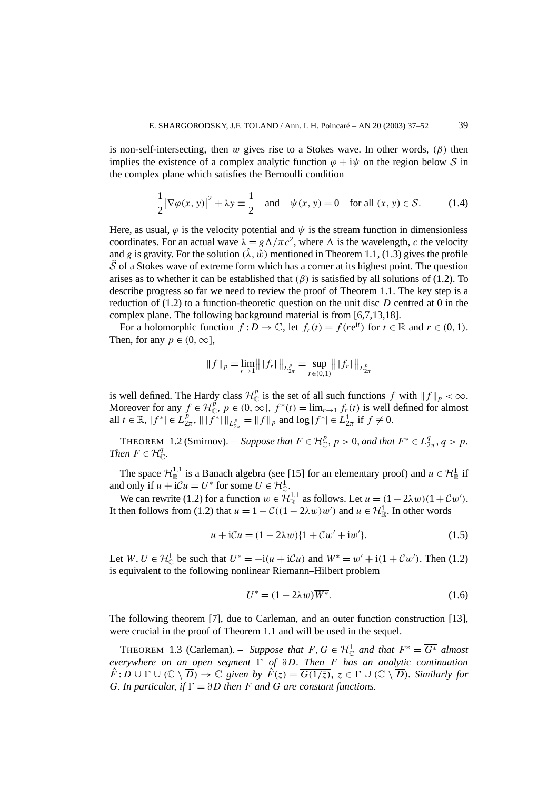is non-self-intersecting, then *w* gives rise to a Stokes wave. In other words, *(β)* then implies the existence of a complex analytic function  $\varphi + i\psi$  on the region below S in the complex plane which satisfies the Bernoulli condition

$$
\frac{1}{2} |\nabla \varphi(x, y)|^2 + \lambda y \equiv \frac{1}{2} \quad \text{and} \quad \psi(x, y) = 0 \quad \text{for all } (x, y) \in \mathcal{S}.
$$
 (1.4)

Here, as usual,  $\varphi$  is the velocity potential and  $\psi$  is the stream function in dimensionless coordinates. For an actual wave  $\lambda = g\Lambda/\pi c^2$ , where  $\Lambda$  is the wavelength, *c* the velocity and *g* is gravity. For the solution  $(\hat{\lambda}, \hat{w})$  mentioned in Theorem 1.1, (1.3) gives the profile S of a Stokes wave of extreme form which has a corner at its highest point. The question arises as to whether it can be established that  $(\beta)$  is satisfied by all solutions of (1.2). To describe progress so far we need to review the proof of Theorem 1.1. The key step is a reduction of (1.2) to a function-theoretic question on the unit disc *D* centred at 0 in the complex plane. The following background material is from [6,7,13,18].

For a holomorphic function  $f: D \to \mathbb{C}$ , let  $f_r(t) = f(re^{it})$  for  $t \in \mathbb{R}$  and  $r \in (0, 1)$ . Then, for any  $p \in (0, \infty]$ ,

$$
|| f ||_p = \lim_{r \to 1} || | f_r ||_{L^p_{2\pi}} = \sup_{r \in (0,1)} || | f_r ||_{L^p_{2\pi}}
$$

is well defined. The Hardy class  $\mathcal{H}_{\mathbb{C}}^p$  is the set of all such functions *f* with  $||f||_p < \infty$ . Moreover for any  $f \in \mathcal{H}_{\mathbb{C}}^p$ ,  $p \in (0, \infty]$ ,  $f^*(t) = \lim_{r \to 1} f_r(t)$  is well defined for almost all  $t \in \mathbb{R}$ ,  $|f^*| \in L_{2\pi}^p$ ,  $||f^*||_{L_{2\pi}^p} = ||f||_p$  and  $\log |f^*| \in L_{2\pi}^1$  if  $f \neq 0$ .

THEOREM 1.2 (Smirnov). – *Suppose that*  $F \in \mathcal{H}_{\mathbb{C}}^p$ ,  $p > 0$ , and that  $F^* \in L_{2\pi}^q$ ,  $q > p$ . *Then*  $F \in \mathcal{H}_{\mathbb{C}}^q$ .

The space  $\mathcal{H}^{1,1}_{\mathbb{R}}$  is a Banach algebra (see [15] for an elementary proof) and  $u \in \mathcal{H}^1_{\mathbb{R}}$  if and only if  $u + iCu = U^*$  for some  $U \in \mathcal{H}_{\mathbb{C}}^1$ .

We can rewrite (1.2) for a function  $w \in \mathcal{H}^{1,1}_{\mathbb{R}}$  as follows. Let  $u = (1 - 2\lambda w)(1 + Cw')$ . It then follows from (1.2) that  $u = 1 - C((1 - 2\lambda w)w')$  and  $u \in \mathcal{H}^1_{\mathbb{R}}$ . In other words

$$
u + iCu = (1 - 2\lambda w)\{1 + Cw' + iw'\}.
$$
 (1.5)

Let  $W, U \in \mathcal{H}_{\mathbb{C}}^1$  be such that  $U^* = -i(u + i\mathcal{C}u)$  and  $W^* = w' + i(1 + \mathcal{C}w')$ . Then (1.2) is equivalent to the following nonlinear Riemann–Hilbert problem

$$
U^* = (1 - 2\lambda w)\overline{W^*}.
$$
\n(1.6)

The following theorem [7], due to Carleman, and an outer function construction [13], were crucial in the proof of Theorem 1.1 and will be used in the sequel.

THEOREM 1.3 (Carleman). – *Suppose that*  $F, G \in H_{\mathbb{C}}^1$  *and that*  $F^* = \overline{G^*}$  *almost everywhere on an open segment ! of ∂D. Then F has an analytic continuation*  $\hat{F}: D \cup \Gamma \cup (\mathbb{C} \setminus \overline{D}) \to \mathbb{C}$  given by  $\hat{F}(z) = \overline{G(1/\overline{z})}$ ,  $z \in \Gamma \cup (\mathbb{C} \setminus \overline{D})$ *. Similarly for G. In particular, if*  $\Gamma = \partial D$  *then F and G are constant functions.*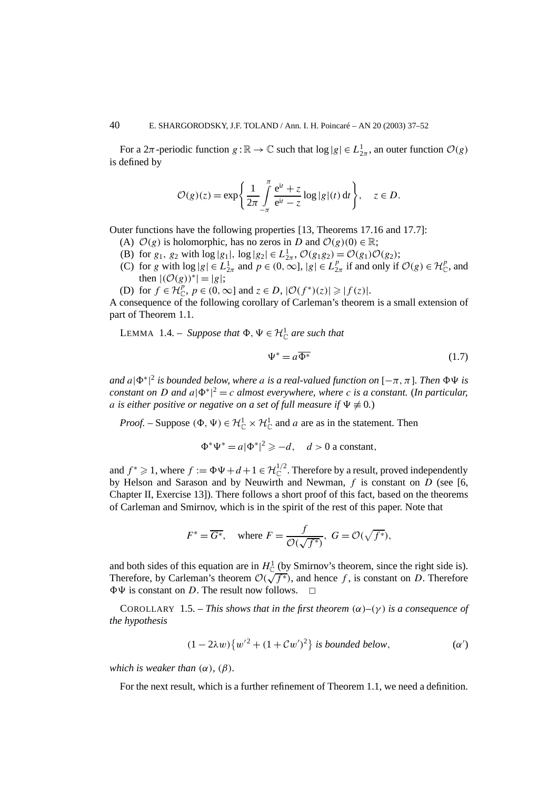For a  $2\pi$ -periodic function  $g : \mathbb{R} \to \mathbb{C}$  such that  $\log |g| \in L^1_{2\pi}$ , an outer function  $\mathcal{O}(g)$ is defined by

$$
\mathcal{O}(g)(z) = \exp\left\{\frac{1}{2\pi}\int\limits_{-\pi}^{\pi}\frac{e^{it}+z}{e^{it}-z}\log|g|(t)\,dt\right\}, \quad z \in D.
$$

Outer functions have the following properties [13, Theorems 17.16 and 17.7]:

- (A)  $\mathcal{O}(g)$  is holomorphic, has no zeros in *D* and  $\mathcal{O}(g)(0) \in \mathbb{R}$ ;
- (B) for  $g_1$ ,  $g_2$  with  $\log|g_1|$ ,  $\log|g_2| \in L^1_{2\pi}$ ,  $\mathcal{O}(g_1g_2) = \mathcal{O}(g_1)\mathcal{O}(g_2)$ ;
- (C) for *g* with  $\log |g| \in L^1_{2\pi}$  and  $p \in (0, \infty]$ ,  $|g| \in L^p_{2\pi}$  if and only if  $\mathcal{O}(g) \in \mathcal{H}_{\mathbb{C}}^p$ , and then  $|({\cal O}(g))^*|=|g|$ ;
- (D) for  $f \in \mathcal{H}_{\mathbb{C}}^p$ ,  $p \in (0, \infty]$  and  $z \in D$ ,  $|\mathcal{O}(f^*)(z)| \geq |f(z)|$ .

A consequence of the following corollary of Carleman's theorem is a small extension of part of Theorem 1.1.

LEMMA 1.4. – *Suppose that*  $\Phi$ ,  $\Psi \in \mathcal{H}^1_{\mathbb{C}}$  are such that

$$
\Psi^* = a\overline{\Phi^*} \tag{1.7}
$$

 $a$ nd  $a |\Phi^*|^2$  *is bounded below, where a is a real-valued function on* [ $-\pi, \pi$ ]. Then  $\Phi \Psi$  *is constant on D and*  $a|\Phi^*|^2 = c$  *almost everywhere, where c is a constant.* (*In particular, a* is either positive or negative on a set of full measure if  $\Psi \neq 0$ .)

*Proof.* – Suppose  $(\Phi, \Psi) \in \mathcal{H}_{\mathbb{C}}^1 \times \mathcal{H}_{\mathbb{C}}^1$  and *a* are as in the statement. Then

$$
\Phi^* \Psi^* = a |\Phi^*|^2 \geq -d, \quad d > 0 \text{ a constant},
$$

and  $f^* \geq 1$ , where  $f := \Phi \Psi + d + 1 \in \mathcal{H}_{\mathbb{C}}^{1/2}$ . Therefore by a result, proved independently by Helson and Sarason and by Neuwirth and Newman, *f* is constant on *D* (see [6, Chapter II, Exercise 13]). There follows a short proof of this fact, based on the theorems of Carleman and Smirnov, which is in the spirit of the rest of this paper. Note that

$$
F^* = \overline{G^*}
$$
, where  $F = \frac{f}{\mathcal{O}(\sqrt{f^*})}$ ,  $G = \mathcal{O}(\sqrt{f^*})$ ,

and both sides of this equation are in  $H^1_{\mathbb{C}}$  (by Smirnov's theorem, since the right side is). Therefore, by Carleman's theorem  $O(\sqrt{f^*})$ , and hence *f*, is constant on *D*. Therefore  $\Phi\Psi$  is constant on *D*. The result now follows.  $\Box$ 

COROLLARY 1.5. – *This shows that in the first theorem*  $(\alpha)$ – $(\gamma)$  *is a consequence of the hypothesis*

$$
(1 - 2\lambda w) \{w'^2 + (1 + Cw')^2\} \text{ is bounded below,} \tag{a'}
$$

*which is weaker than*  $(\alpha)$ *,*  $(\beta)$ *.* 

For the next result, which is a further refinement of Theorem 1.1, we need a definition.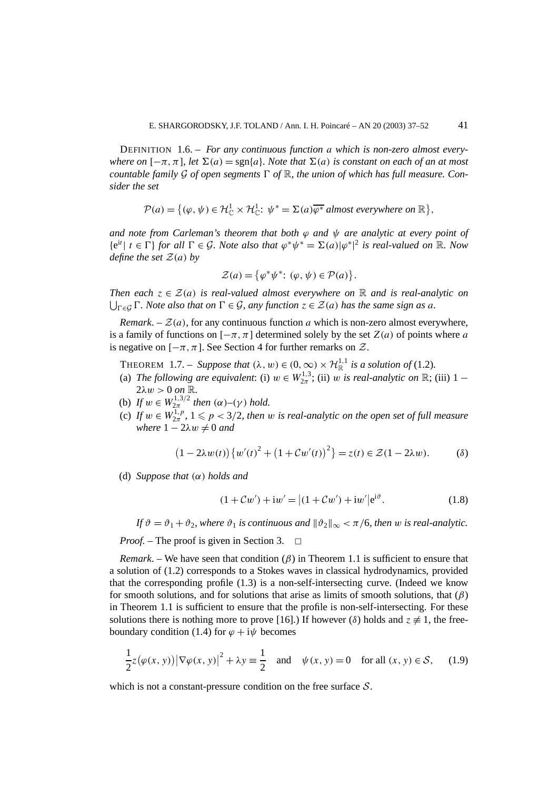DEFINITION 1.6. – *For any continuous function a which is non-zero almost everywhere on*  $[-\pi, \pi]$ *, let*  $\Sigma(a) = \text{sgn}\{a\}$ *. Note that*  $\Sigma(a)$  *is constant on each of an at most countable family* G of open segments  $\Gamma$  of  $\mathbb{R}$ , the union of which has full measure. Con*sider the set*

$$
\mathcal{P}(a) = \{(\varphi, \psi) \in \mathcal{H}_{\mathbb{C}}^1 \times \mathcal{H}_{\mathbb{C}}^1 : \psi^* = \Sigma(a)\overline{\varphi^*} \text{ almost everywhere on } \mathbb{R}\},
$$

*and note from Carleman's theorem that both*  $\varphi$  *and*  $\psi$  *are analytic at every point of*  ${e^{it} \mid t \in \Gamma}$  *for all*  $\Gamma \in \mathcal{G}$ *. Note also that*  $\varphi^* \psi^* = \Sigma(a) |\varphi^*|^2$  *is real-valued on* R*. Now define the set*  $\mathcal{Z}(a)$  *by* 

$$
\mathcal{Z}(a) = \{ \varphi^* \psi^* : (\varphi, \psi) \in \mathcal{P}(a) \}.
$$

*Then each*  $z \in \mathcal{Z}(a)$  *is real-valued almost everywhere on* R *and is real-analytic on*  $\bigcup_{\Gamma \in \mathcal{G}} \Gamma$ *. Note also that on*  $\Gamma \in \mathcal{G}$ *, any function*  $z \in \mathcal{Z}(a)$  *has the same sign as a.* 

*Remark.* –  $\mathcal{Z}(a)$ , for any continuous function *a* which is non-zero almost everywhere, is a family of functions on  $[-\pi, \pi]$  determined solely by the set  $Z(a)$  of points where a is negative on  $[-\pi, \pi]$ . See Section 4 for further remarks on  $\mathcal{Z}$ .

THEOREM 1.7. – *Suppose that*  $(\lambda, w) \in (0, \infty) \times \mathcal{H}_{\mathbb{R}}^{1,1}$  *is a solution of* (1.2)*.* 

- (a) *The following are equivalent*: (i)  $w \in W_{2\pi}^{1,3}$ ; (ii)  $w$  *is real-analytic on*  $\mathbb{R}$ ; (iii) 1  $2λw > 0$  *on* R.
- (b) *If*  $w \in W_{2\pi}^{1,3/2}$  *then*  $(\alpha) (\gamma)$  *hold.*
- (c) If  $w \in W_{2\pi}^{1,p}$ ,  $1 \leqslant p < 3/2$ , then  $w$  is real-analytic on the open set of full measure *where*  $1 - 2\lambda w \neq 0$  *and*

$$
(1 - 2\lambda w(t))\{w'(t)^2 + (1 + Cw'(t))^2\} = z(t) \in \mathcal{Z}(1 - 2\lambda w).
$$
 (8)

(d) *Suppose that (α) holds and*

$$
(1 + Cw') + iw' = |(1 + Cw') + iw'|e^{i\vartheta}.
$$
 (1.8)

*If*  $\vartheta = \vartheta_1 + \vartheta_2$ , where  $\vartheta_1$  *is continuous and*  $\|\vartheta_2\|_{\infty} < \pi/6$ , *then w is real-analytic.* 

*Proof.* – The proof is given in Section 3. <del>□</del>

*Remark.* – We have seen that condition  $(\beta)$  in Theorem 1.1 is sufficient to ensure that a solution of (1.2) corresponds to a Stokes waves in classical hydrodynamics, provided that the corresponding profile (1.3) is a non-self-intersecting curve. (Indeed we know for smooth solutions, and for solutions that arise as limits of smooth solutions, that (*β*) in Theorem 1.1 is sufficient to ensure that the profile is non-self-intersecting. For these solutions there is nothing more to prove [16].) If however ( $\delta$ ) holds and  $z \neq 1$ , the freeboundary condition (1.4) for  $\varphi + i\psi$  becomes

$$
\frac{1}{2}z(\varphi(x, y))|\nabla\varphi(x, y)|^2 + \lambda y \equiv \frac{1}{2} \quad \text{and} \quad \psi(x, y) = 0 \quad \text{for all } (x, y) \in \mathcal{S}, \tag{1.9}
$$

which is not a constant-pressure condition on the free surface  $S$ .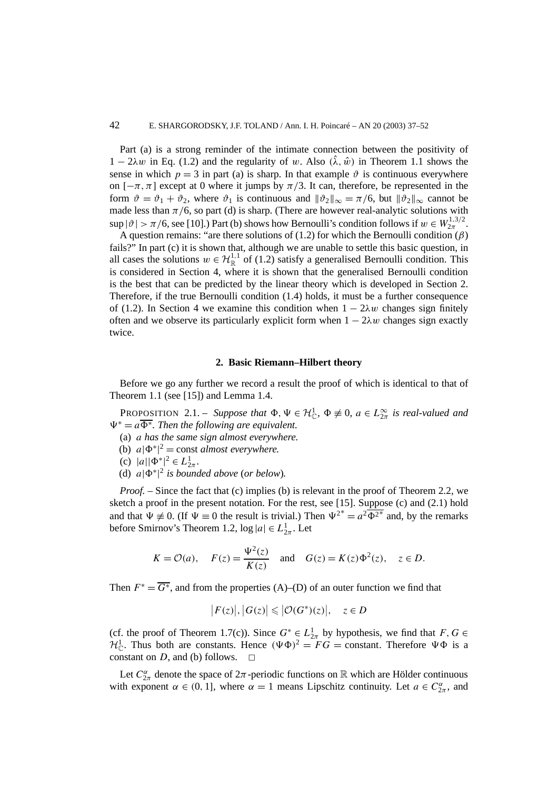Part (a) is a strong reminder of the intimate connection between the positivity of  $1 - 2\lambda w$  in Eq. (1.2) and the regularity of *w*. Also  $(\hat{\lambda}, \hat{w})$  in Theorem 1.1 shows the sense in which  $p = 3$  in part (a) is sharp. In that example  $\vartheta$  is continuous everywhere on  $[-\pi,\pi]$  except at 0 where it jumps by  $\pi/3$ . It can, therefore, be represented in the form  $\vartheta = \vartheta_1 + \vartheta_2$ , where  $\vartheta_1$  is continuous and  $\|\vartheta_2\|_{\infty} = \pi/6$ , but  $\|\vartheta_2\|_{\infty}$  cannot be made less than  $\pi/6$ , so part (d) is sharp. (There are however real-analytic solutions with  $\sup |\vartheta| > \pi/6$ , see [10].) Part (b) shows how Bernoulli's condition follows if  $w \in W^{1,3/2}_{2\pi}$ .

A question remains: "are there solutions of (1.2) for which the Bernoulli condition (*β*) fails?" In part (c) it is shown that, although we are unable to settle this basic question, in all cases the solutions  $w \in \mathcal{H}^{1,1}_{\mathbb{R}}$  of (1.2) satisfy a generalised Bernoulli condition. This is considered in Section 4, where it is shown that the generalised Bernoulli condition is the best that can be predicted by the linear theory which is developed in Section 2. Therefore, if the true Bernoulli condition (1.4) holds, it must be a further consequence of (1.2). In Section 4 we examine this condition when  $1 - 2\lambda w$  changes sign finitely often and we observe its particularly explicit form when  $1 - 2\lambda w$  changes sign exactly twice.

#### **2. Basic Riemann–Hilbert theory**

Before we go any further we record a result the proof of which is identical to that of Theorem 1.1 (see [15]) and Lemma 1.4.

PROPOSITION 2.1. – *Suppose that*  $\Phi, \Psi \in \mathcal{H}_{\mathbb{C}}^1$ ,  $\Phi \not\equiv 0$ ,  $a \in L_{2\pi}^{\infty}$  *is real-valued and*  $\Psi^* = a \overline{\Phi^*}$ . Then the following are equivalent.

- (a) *a has the same sign almost everywhere.*
- (b)  $a|\Phi^*|^2$  = const *almost everywhere.*
- (c)  $|a||\Phi^*|^2 \in L^1_{2\pi}$ .
- (d)  $a|\Phi^*|^2$  *is bounded above* (*or below*).

*Proof.* – Since the fact that (c) implies (b) is relevant in the proof of Theorem 2.2, we sketch a proof in the present notation. For the rest, see [15]. Suppose (c) and (2.1) hold and that  $\Psi \neq 0$ . (If  $\Psi \equiv 0$  the result is trivial.) Then  $\Psi^{2*} = a^2 \overline{\Phi^{2*}}$  and, by the remarks before Smirnov's Theorem 1.2,  $\log |a| \in L^1_{2\pi}$ . Let

$$
K = \mathcal{O}(a)
$$
,  $F(z) = \frac{\Psi^2(z)}{K(z)}$  and  $G(z) = K(z)\Phi^2(z)$ ,  $z \in D$ .

Then  $F^* = \overline{G^*}$ , and from the properties (A)–(D) of an outer function we find that

$$
|F(z)|, |G(z)| \leq |{\mathcal O}(G^*)(z)|, \quad z \in D
$$

(cf. the proof of Theorem 1.7(c)). Since  $G^* \in L^1_{2\pi}$  by hypothesis, we find that  $F, G \in$  $\mathcal{H}_{\mathbb{C}}^1$ . Thus both are constants. Hence  $(\Psi \Phi)^2 = FG = \text{constant}$ . Therefore  $\Psi \Phi$  is a constant on  $D$ , and (b) follows.

Let  $C_{2\pi}^{\alpha}$  denote the space of  $2\pi$ -periodic functions on R which are Hölder continuous with exponent  $\alpha \in (0, 1]$ , where  $\alpha = 1$  means Lipschitz continuity. Let  $a \in C^{\alpha}_{2\pi}$ , and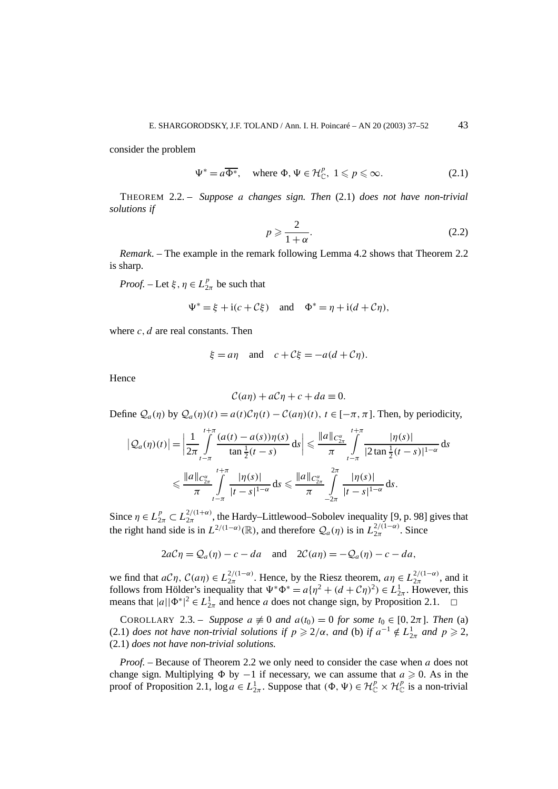consider the problem

$$
\Psi^* = a\overline{\Phi^*}, \quad \text{where } \Phi, \Psi \in \mathcal{H}_{\mathbb{C}}^p, \ 1 \leqslant p \leqslant \infty. \tag{2.1}
$$

THEOREM 2.2. – *Suppose a changes sign. Then* (2.1) *does not have non-trivial solutions if*

$$
p \geqslant \frac{2}{1+\alpha}.\tag{2.2}
$$

*Remark*. – The example in the remark following Lemma 4.2 shows that Theorem 2.2 is sharp.

*Proof.* – Let  $\xi, \eta \in L_{2\pi}^p$  be such that

$$
\Psi^* = \xi + i(c + C\xi) \quad \text{and} \quad \Phi^* = \eta + i(d + C\eta),
$$

where *c, d* are real constants. Then

$$
\xi = a\eta
$$
 and  $c + C\xi = -a(d + C\eta)$ .

Hence

$$
\mathcal{C}(a\eta) + a\mathcal{C}\eta + c + da \equiv 0.
$$

Define  $Q_a(\eta)$  by  $Q_a(\eta)(t) = a(t)\mathcal{C}\eta(t) - \mathcal{C}(a\eta)(t)$ ,  $t \in [-\pi, \pi]$ . Then, by periodicity,

$$
\left|Q_a(\eta)(t)\right| = \left|\frac{1}{2\pi} \int_{t-\pi}^{t+\pi} \frac{(a(t) - a(s))\eta(s)}{\tan\frac{1}{2}(t-s)} ds\right| \leq \frac{\|a\|_{C_{2\pi}^{\alpha}}}{\pi} \int_{t-\pi}^{t+\pi} \frac{|\eta(s)|}{|2 \tan\frac{1}{2}(t-s)|^{1-\alpha}} ds
$$
  

$$
\leq \frac{\|a\|_{C_{2\pi}^{\alpha}}}{\pi} \int_{t-\pi}^{t+\pi} \frac{|\eta(s)|}{|t-s|^{1-\alpha}} ds \leq \frac{\|a\|_{C_{2\pi}^{\alpha}}}{\pi} \int_{-2\pi}^{2\pi} \frac{|\eta(s)|}{|t-s|^{1-\alpha}} ds.
$$

Since  $\eta \in L_{2\pi}^p \subset L_{2\pi}^{2/(1+\alpha)}$ , the Hardy–Littlewood–Sobolev inequality [9, p. 98] gives that the right hand side is in  $L^{2/(1-\alpha)}(\mathbb{R})$ , and therefore  $\mathcal{Q}_a(\eta)$  is in  $L^{2/(1-\alpha)}_{2\pi}$ . Since

$$
2aC\eta = Q_a(\eta) - c - da
$$
 and  $2C(a\eta) = -Q_a(\eta) - c - da$ ,

we find that  $aC\eta$ ,  $C(a\eta) \in L_{2\pi}^{2/(1-\alpha)}$ . Hence, by the Riesz theorem,  $a\eta \in L_{2\pi}^{2/(1-\alpha)}$ , and it follows from Hölder's inequality that  $\Psi^* \Phi^* = a \{\eta^2 + (d + \mathcal{C}\eta)^2) \in L^1_{2\pi}$ . However, this means that  $|a||\Phi^*|^2 \in L^1_{2\pi}$  and hence *a* does not change sign, by Proposition 2.1.  $\Box$ 

COROLLARY 2.3. – *Suppose*  $a \neq 0$  *and*  $a(t_0) = 0$  *for some*  $t_0 \in [0, 2\pi]$ *. Then* (a) (2.1) *does not have non-trivial solutions if*  $p \ge 2/\alpha$ , *and* (b) *if*  $a^{-1} \notin L^1_{2\pi}$  *and*  $p \ge 2$ , (2.1) *does not have non-trivial solutions.*

*Proof. –* Because of Theorem 2.2 we only need to consider the case when *a* does not change sign. Multiplying  $\Phi$  by  $-1$  if necessary, we can assume that  $a \ge 0$ . As in the proof of Proposition 2.1,  $\log a \in L^1_{2\pi}$ . Suppose that  $(\Phi, \Psi) \in \mathcal{H}_{\mathbb{C}}^p \times \mathcal{H}_{\mathbb{C}}^p$  is a non-trivial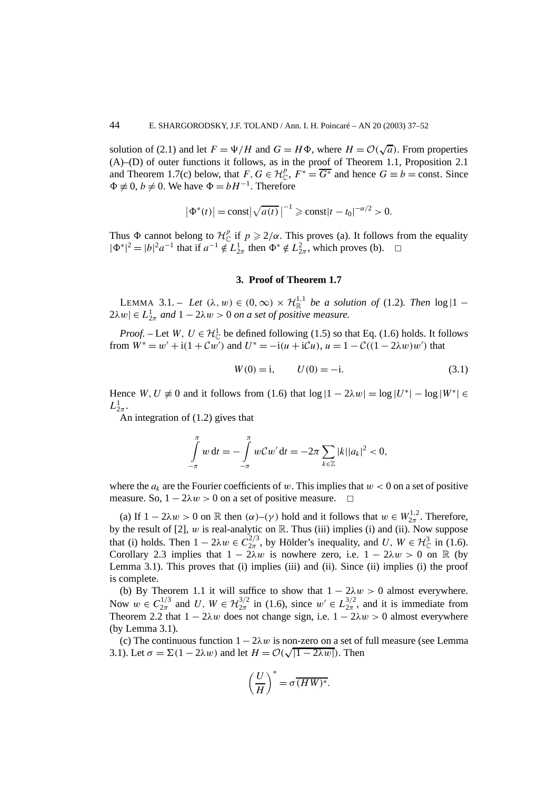solution of (2.1) and let  $F = \Psi/H$  and  $G = H\Phi$ , where  $H = \mathcal{O}(\sqrt{a})$ . From properties (A)–(D) of outer functions it follows, as in the proof of Theorem 1.1, Proposition 2.1 and Theorem 1.7(c) below, that  $F, G \in \mathcal{H}_{\mathbb{C}}^p$ ,  $F^* = \overline{G^*}$  and hence  $G \equiv b = \text{const.}$  Since  $\Phi$  ≢ 0, *b* ≠ 0. We have  $\Phi$  = *bH*<sup>-1</sup>. Therefore

$$
|\Phi^*(t)| = \text{const}| \sqrt{a(t)}|^{-1} \ge \text{const}|t - t_0|^{-\alpha/2} > 0.
$$

Thus  $\Phi$  cannot belong to  $\mathcal{H}_{\mathbb{C}}^p$  if  $p \geq 2/\alpha$ . This proves (a). It follows from the equality  $|\Phi^*|^2 = |b|^2 a^{-1}$  that if  $a^{-1} \notin L^1_{2\pi}$  then  $\Phi^* \notin L^2_{2\pi}$ , which proves (b).  $□$ 

## **3. Proof of Theorem 1.7**

LEMMA 3.1. – Let  $(\lambda, w) \in (0, \infty) \times \mathcal{H}_{\mathbb{R}}^{1,1}$  be a solution of (1.2). Then  $\log|1 - \lambda|$  $2\lambda w \in L^1_{2\pi}$  and  $1 - 2\lambda w > 0$  *on a set of positive measure.* 

*Proof.* – Let *W*,  $U \in \mathcal{H}_{\mathbb{C}}^1$  be defined following (1.5) so that Eq. (1.6) holds. It follows from  $W^* = w' + i(1 + Cw')$  and  $U^* = -i(u + iCu)$ ,  $u = 1 - C((1 - 2\lambda w)w')$  that

$$
W(0) = i, \qquad U(0) = -i. \tag{3.1}
$$

Hence  $W, U \neq 0$  and it follows from (1.6) that  $\log |1 - 2\lambda w| = \log |U^*| - \log |W^*| \in$  $L^1_{2\pi}$ .

An integration of (1.2) gives that

$$
\int_{-\pi}^{\pi} w \, dt = -\int_{-\pi}^{\pi} w \mathcal{C} w' \, dt = -2\pi \sum_{k \in \mathbb{Z}} |k| |a_k|^2 < 0,
$$

where the  $a_k$  are the Fourier coefficients of *w*. This implies that  $w < 0$  on a set of positive measure. So,  $1 - 2\lambda w > 0$  on a set of positive measure.  $\Box$ 

(a) If  $1 - 2\lambda w > 0$  on  $\mathbb R$  then  $(\alpha) - (\gamma)$  hold and it follows that  $w \in W_{2\pi}^{1,2}$ . Therefore, by the result of  $[2]$ ,  $w$  is real-analytic on  $\mathbb{R}$ . Thus (iii) implies (i) and (ii). Now suppose that (i) holds. Then  $1 - 2\lambda w \in C_{2\pi}^{2/3}$ , by Hölder's inequality, and *U*,  $W \in H^3_{\mathbb{C}}$  in (1.6). Corollary 2.3 implies that  $1 - 2\lambda w$  is nowhere zero, i.e.  $1 - 2\lambda w > 0$  on R (by Lemma 3.1). This proves that (i) implies (iii) and (ii). Since (ii) implies (i) the proof is complete.

(b) By Theorem 1.1 it will suffice to show that  $1 - 2\lambda w > 0$  almost everywhere. Now  $w \in C_{2\pi}^{1/3}$  and  $U, W \in H_{2\pi}^{3/2}$  in (1.6), since  $w' \in L_{2\pi}^{3/2}$ , and it is immediate from Theorem 2.2 that  $1 - 2\lambda w$  does not change sign, i.e.  $1 - 2\lambda w > 0$  almost everywhere (by Lemma 3.1).

(c) The continuous function  $1 - 2\lambda w$  is non-zero on a set of full measure (see Lemma (c) The continuous function  $1 - 2\lambda w$  is non-zero on a set of 3.1). Let  $\sigma = \Sigma(1 - 2\lambda w)$  and let  $H = \mathcal{O}(\sqrt{|1 - 2\lambda w|})$ . Then

$$
\left(\frac{U}{H}\right)^* = \sigma \, \overline{(HW)^*}.
$$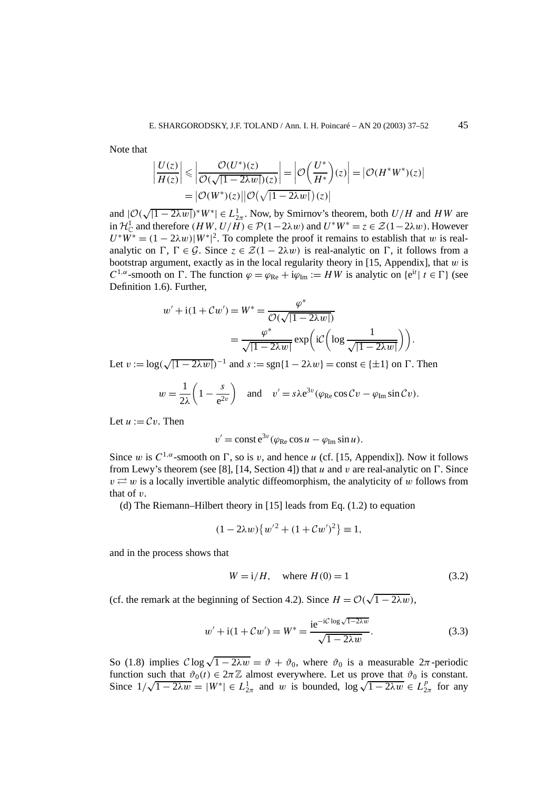Note that

$$
\left|\frac{U(z)}{H(z)}\right| \leq \left|\frac{\mathcal{O}(U^*)(z)}{\mathcal{O}(\sqrt{|1-2\lambda w|})(z)}\right| = \left|\mathcal{O}\left(\frac{U^*}{H^*}\right)(z)\right| = \left|\mathcal{O}(H^*W^*)(z)\right|
$$
  
=  $|\mathcal{O}(W^*)(z)||\mathcal{O}(\sqrt{|1-2\lambda w|})(z)|$ 

and  $|O(\sqrt{|1-2\lambda w|})^*W^*| \in L^1_{2\pi}$ . Now, by Smirnov's theorem, both  $U/H$  and  $HW$  are in  $\mathcal{H}_{\mathbb{C}}^1$  and therefore  $(HW, U/H) \in \mathcal{P}(1-2\lambda w)$  and  $U^*W^* = z \in \mathcal{Z}(1-2\lambda w)$ . However  $U^*W^* = (1 - 2\lambda w)|W^*|^2$ . To complete the proof it remains to establish that *w* is realanalytic on  $\Gamma$ ,  $\Gamma \in \mathcal{G}$ . Since  $z \in \mathcal{Z}(1 - 2\lambda w)$  is real-analytic on  $\Gamma$ , it follows from a bootstrap argument, exactly as in the local regularity theory in [15, Appendix], that *w* is *C*<sup>1*,α</sup>*-smooth on  $\Gamma$ . The function  $\varphi = \varphi_{\text{Re}} + i\varphi_{\text{Im}} := HW$  is analytic on  $\{e^{it} | t \in \Gamma\}$  (see</sup> Definition 1.6). Further,

$$
w' + i(1 + Cw') = W^* = \frac{\varphi^*}{\mathcal{O}(\sqrt{|1 - 2\lambda w|})}
$$

$$
= \frac{\varphi^*}{\sqrt{|1 - 2\lambda w|}} \exp\left(i\mathcal{C}\left(\log\frac{1}{\sqrt{|1 - 2\lambda w|}}\right)\right).
$$

Let  $v := \log(\sqrt{|1 - 2\lambda w|})^{-1}$  and  $s := \text{sgn}\{1 - 2\lambda w\} = \text{const} \in \{\pm 1\}$  on  $\Gamma$ . Then

$$
w = \frac{1}{2\lambda} \left( 1 - \frac{s}{e^{2v}} \right)
$$
 and  $v' = s\lambda e^{3v} (\varphi_{Re} \cos Cv - \varphi_{Im} \sin Cv).$ 

Let  $u := Cv$ . Then

$$
v' = \text{const} e^{3v} (\varphi_{\text{Re}} \cos u - \varphi_{\text{Im}} \sin u).
$$

Since *w* is  $C^{1,\alpha}$ -smooth on  $\Gamma$ , so is *v*, and hence *u* (cf. [15, Appendix]). Now it follows from Lewy's theorem (see [8], [14, Section 4]) that *u* and *v* are real-analytic on  $\Gamma$ . Since  $v \rightleftarrows w$  is a locally invertible analytic diffeomorphism, the analyticity of *w* follows from that of *v*.

(d) The Riemann–Hilbert theory in [15] leads from Eq. (1.2) to equation

$$
(1 - 2\lambda w) \{w'^2 + (1 + Cw')^2\} \equiv 1,
$$

and in the process shows that

$$
W = i/H
$$
, where  $H(0) = 1$  (3.2)

(cf. the remark at the beginning of Section 4.2). Since  $H = \mathcal{O}(\sqrt{1 - 2\lambda w})$ ,

$$
w' + i(1 + Cw') = W^* = \frac{ie^{-iC \log \sqrt{1 - 2\lambda w}}}{\sqrt{1 - 2\lambda w}}.
$$
 (3.3)

So (1.8) implies  $C \log \sqrt{1 - 2\lambda w} = \vartheta + \vartheta_0$ , where  $\vartheta_0$  is a measurable  $2\pi$ -periodic function such that  $\vartheta_0(t) \in 2\pi \mathbb{Z}$  almost everywhere. Let us prove that  $\vartheta_0$  is constant. Function such that  $v_0(t) \in 2\pi \mathbb{Z}$  almost everywhere. Let us prove that  $v_0$  is constant.<br>Since  $1/\sqrt{1-2\lambda w} = |W^*| \in L^1_{2\pi}$  and *w* is bounded,  $\log \sqrt{1-2\lambda w} \in L^p_{2\pi}$  for any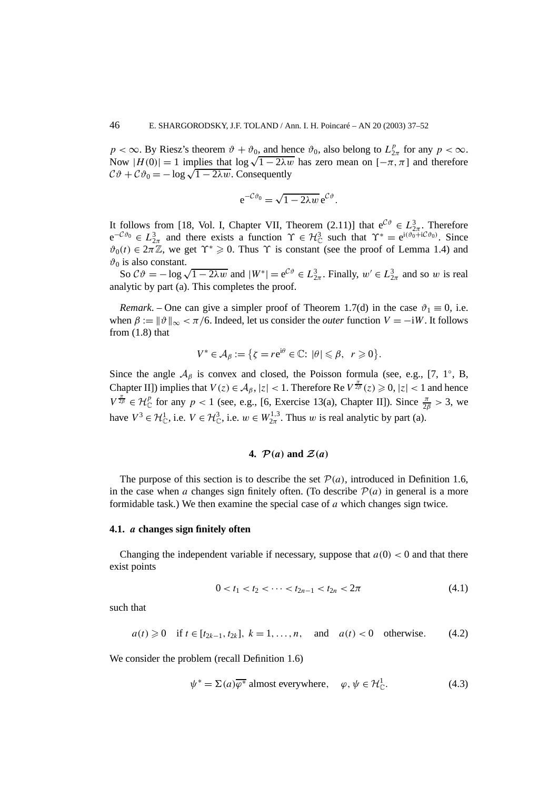$p < \infty$ . By Riesz's theorem  $\vartheta + \vartheta_0$ , and hence  $\vartheta_0$ , also belong to  $L_{2\pi}^p$  for any  $p < \infty$ . Now  $|H(0)| = 1$  implies that  $\log \sqrt{1 - 2\lambda w}$  has zero mean on  $[-\pi, \pi]$  and therefore  $C\vartheta + C\vartheta_0 = -\log\sqrt{1 - 2\lambda w}$ . Consequently

$$
e^{-\mathcal{C}\vartheta_0} = \sqrt{1-2\lambda w} e^{\mathcal{C}\vartheta}.
$$

It follows from [18, Vol. I, Chapter VII, Theorem (2.11)] that  $e^{C\vartheta} \in L^3_{2\pi}$ . Therefore  $e^{-C\vartheta_0} \in L^3_{2\pi}$  and there exists a function  $\Upsilon \in H^3_{\mathbb{C}}$  such that  $\Upsilon^* = e^{i(\vartheta_0 + iC\vartheta_0)}$ . Since  $\vartheta_0(t) \in 2\pi \mathbb{Z}$ , we get  $\Upsilon^* \geq 0$ . Thus  $\Upsilon$  is constant (see the proof of Lemma 1.4) and  $\vartheta_0$  is also constant.

So  $C\vartheta = -\log \sqrt{1 - 2\lambda w}$  and  $|W^*| = e^{C\vartheta} \in L^3_{2\pi}$ . Finally,  $w' \in L^3_{2\pi}$  and so *w* is real analytic by part (a). This completes the proof.

*Remark*. – One can give a simpler proof of Theorem 1.7(d) in the case  $\vartheta_1 \equiv 0$ , i.e. when  $\beta := ||\vartheta||_{\infty} < \pi/6$ . Indeed, let us consider the *outer* function  $V = -iW$ . It follows from (1.8) that

$$
V^* \in \mathcal{A}_{\beta} := \{ \zeta = r e^{i\theta} \in \mathbb{C} : |\theta| \leq \beta, r \geq 0 \}.
$$

Since the angle  $A_\beta$  is convex and closed, the Poisson formula (see, e.g., [7, 1<sup>°</sup>, B, Chapter II]) implies that  $V(z) \in A_\beta$ ,  $|z| < 1$ . Therefore Re  $V^{\frac{\pi}{2\beta}}(z) \ge 0$ ,  $|z| < 1$  and hence  $V^{\frac{\pi}{2\beta}} \in \mathcal{H}_{\mathbb{C}}^p$  for any  $p < 1$  (see, e.g., [6, Exercise 13(a), Chapter II]). Since  $\frac{\pi}{2\beta} > 3$ , we have  $V^3 \in \mathcal{H}_{\mathbb{C}}^1$ , i.e.  $V \in \mathcal{H}_{\mathbb{C}}^3$ , i.e.  $w \in W_{2\pi}^{1,3}$ . Thus *w* is real analytic by part (a).

# **4.**  $\mathcal{P}(a)$  and  $\mathcal{Z}(a)$

The purpose of this section is to describe the set  $P(a)$ , introduced in Definition 1.6, in the case when *a* changes sign finitely often. (To describe  $P(a)$  in general is a more formidable task.) We then examine the special case of *a* which changes sign twice.

## **4.1.** *a* **changes sign finitely often**

Changing the independent variable if necessary, suppose that  $a(0) < 0$  and that there exist points

$$
0 < t_1 < t_2 < \cdots < t_{2n-1} < t_{2n} < 2\pi
$$
\n(4.1)

such that

$$
a(t) \ge 0
$$
 if  $t \in [t_{2k-1}, t_{2k}], k = 1, ..., n$ , and  $a(t) < 0$  otherwise. (4.2)

We consider the problem (recall Definition 1.6)

$$
\psi^* = \Sigma(a)\overline{\varphi^*} \text{ almost everywhere}, \quad \varphi, \psi \in \mathcal{H}_{\mathbb{C}}^1. \tag{4.3}
$$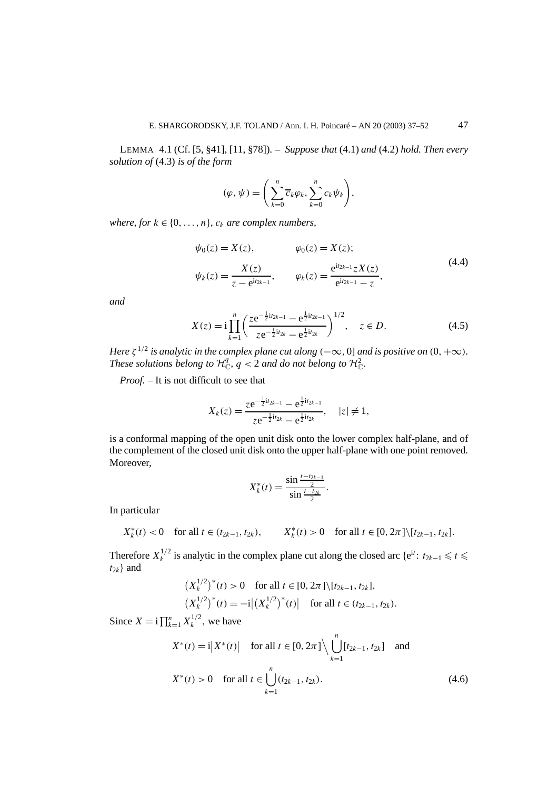LEMMA 4.1 (Cf. [5, §41], [11, §78]). – *Suppose that* (4.1) *and* (4.2) *hold. Then every solution of* (4.3) *is of the form*

$$
(\varphi, \psi) = \left( \sum_{k=0}^n \overline{c}_k \varphi_k, \sum_{k=0}^n c_k \psi_k \right),
$$

*where, for*  $k \in \{0, \ldots, n\}$ *,*  $c_k$  *are complex numbers,* 

$$
\psi_0(z) = X(z), \qquad \varphi_0(z) = X(z);
$$
  
\n
$$
\psi_k(z) = \frac{X(z)}{z - e^{itz_{k-1}}}, \qquad \varphi_k(z) = \frac{e^{itz_{k-1}}ZX(z)}{e^{itz_{k-1}} - z},
$$
\n(4.4)

*and*

$$
X(z) = i \prod_{k=1}^{n} \left( \frac{z e^{-\frac{1}{2} i t_{2k-1}} - e^{\frac{1}{2} i t_{2k-1}}}{z e^{-\frac{1}{2} i t_{2k}} - e^{\frac{1}{2} i t_{2k}} \right)^{1/2}, \quad z \in D.
$$
 (4.5)

*Here*  $\zeta^{1/2}$  *is analytic in the complex plane cut along*  $(-\infty, 0]$  *and is positive on*  $(0, +\infty)$ *. These solutions belong to*  $\mathcal{H}_{\mathbb{C}}^q$ ,  $q < 2$  *and do not belong to*  $\mathcal{H}_{\mathbb{C}}^2$ .

*Proof. –* It is not difficult to see that

$$
X_k(z) = \frac{ze^{-\frac{1}{2}iz_{k-1}} - e^{\frac{1}{2}iz_{k-1}}}{ze^{-\frac{1}{2}iz_k} - e^{\frac{1}{2}iz_k}}, \quad |z| \neq 1,
$$

is a conformal mapping of the open unit disk onto the lower complex half-plane, and of the complement of the closed unit disk onto the upper half-plane with one point removed. Moreover,

$$
X_k^*(t) = \frac{\sin \frac{t - t_{2k-1}}{2}}{\sin \frac{t - t_{2k}}{2}}.
$$

In particular

$$
X_k^*(t) < 0 \quad \text{for all } t \in (t_{2k-1}, t_{2k}), \qquad X_k^*(t) > 0 \quad \text{for all } t \in [0, 2\pi] \setminus [t_{2k-1}, t_{2k}].
$$

Therefore  $X_k^{1/2}$  is analytic in the complex plane cut along the closed arc {e<sup>it</sup>:  $t_{2k-1} \leqslant t \leqslant$  $t_{2k}$ } and

$$
\begin{aligned} \left(X_k^{1/2}\right)^*(t) &> 0 \quad \text{for all } t \in [0, 2\pi] \setminus [t_{2k-1}, t_{2k}],\\ \left(X_k^{1/2}\right)^*(t) &= -i \left| \left(X_k^{1/2}\right)^*(t) \right| \quad \text{for all } t \in (t_{2k-1}, t_{2k}). \end{aligned}
$$

Since  $X = \mathbf{i} \prod_{k=1}^{n} X_k^{1/2}$ , we have

$$
X^{*}(t) = i |X^{*}(t)| \quad \text{for all } t \in [0, 2\pi] \setminus \bigcup_{k=1}^{n} [t_{2k-1}, t_{2k}] \quad \text{and}
$$

$$
X^{*}(t) > 0 \quad \text{for all } t \in \bigcup_{k=1}^{n} (t_{2k-1}, t_{2k}).
$$
(4.6)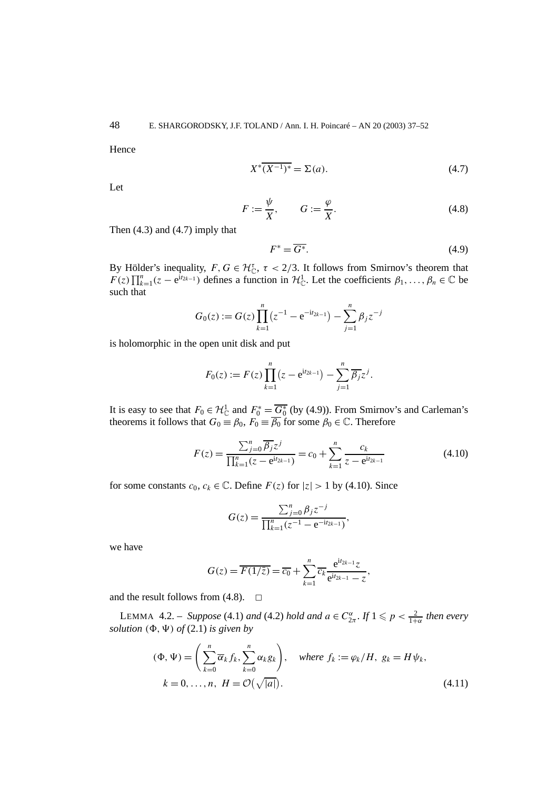Hence

$$
X^*(\overline{X^{-1}})^* = \Sigma(a). \tag{4.7}
$$

Let

$$
F := \frac{\psi}{X}, \qquad G := \frac{\varphi}{X}.
$$
\n(4.8)

Then (4.3) and (4.7) imply that

$$
F^* = \overline{G^*}. \tag{4.9}
$$

By Hölder's inequality,  $F, G \in \mathcal{H}_{\mathbb{C}}^{\tau}$ ,  $\tau < 2/3$ . It follows from Smirnov's theorem that  $F(z)\prod_{k=1}^{n}(z-e^{iz_{k-1}})$  defines a function in  $\mathcal{H}_{\mathbb{C}}^{1}$ . Let the coefficients  $\beta_1,\ldots,\beta_n\in\mathbb{C}$  be such that

$$
G_0(z) := G(z) \prod_{k=1}^n (z^{-1} - e^{-it_{2k-1}}) - \sum_{j=1}^n \beta_j z^{-j}
$$

is holomorphic in the open unit disk and put

$$
F_0(z) := F(z) \prod_{k=1}^n (z - e^{it_{2k-1}}) - \sum_{j=1}^n \overline{\beta_j} z^j.
$$

It is easy to see that  $F_0 \in \mathcal{H}_\mathbb{C}^1$  and  $F_0^* = \overline{G_0^*}$  (by (4.9)). From Smirnov's and Carleman's theorems it follows that  $G_0 \equiv \beta_0$ ,  $F_0 \equiv \overline{\beta_0}$  for some  $\beta_0 \in \mathbb{C}$ . Therefore

$$
F(z) = \frac{\sum_{j=0}^{n} \overline{\beta_j} z^j}{\prod_{k=1}^{n} (z - e^{itz_{k-1}})} = c_0 + \sum_{k=1}^{n} \frac{c_k}{z - e^{itz_{k-1}}}
$$
(4.10)

for some constants  $c_0, c_k \in \mathbb{C}$ . Define  $F(z)$  for  $|z| > 1$  by (4.10). Since

$$
G(z) = \frac{\sum_{j=0}^{n} \beta_j z^{-j}}{\prod_{k=1}^{n} (z^{-1} - e^{-it_{2k-1}})},
$$

we have

$$
G(z) = \overline{F(1/\overline{z})} = \overline{c_0} + \sum_{k=1}^{n} \overline{c_k} \frac{e^{itz_{k-1}}z}{e^{itz_{k-1}} - z},
$$

and the result follows from  $(4.8)$ .  $\Box$ 

LEMMA 4.2. – *Suppose* (4.1) *and* (4.2) *hold and*  $a \in C^{\alpha}_{2\pi}$ . If  $1 \leq p < \frac{2}{1+\alpha}$  *then every solution*  $(\Phi, \Psi)$  *of*  $(2.1)$  *is given by* 

$$
(\Phi, \Psi) = \left(\sum_{k=0}^{n} \overline{\alpha}_{k} f_{k}, \sum_{k=0}^{n} \alpha_{k} g_{k}\right), \quad \text{where } f_{k} := \varphi_{k}/H, \ g_{k} = H\psi_{k},
$$

$$
k = 0, \dots, n, \ H = \mathcal{O}(\sqrt{|a|}). \tag{4.11}
$$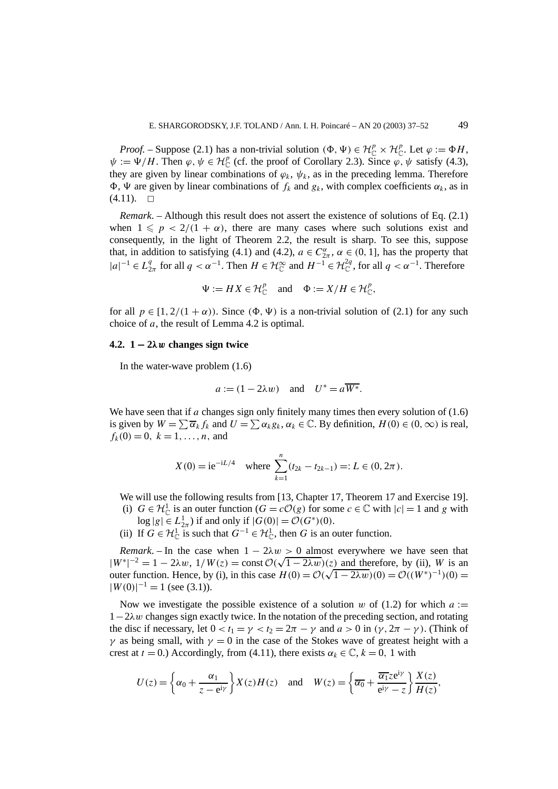*Proof.* – Suppose (2.1) has a non-trivial solution  $(\Phi, \Psi) \in \mathcal{H}_{\mathbb{C}}^p \times \mathcal{H}_{\mathbb{C}}^p$ . Let  $\varphi := \Phi H$ ,  $\psi := \Psi/H$ . Then  $\varphi, \psi \in H_{\mathbb{C}}^p$  (cf. the proof of Corollary 2.3). Since  $\varphi, \psi$  satisfy (4.3), they are given by linear combinations of  $\varphi_k$ ,  $\psi_k$ , as in the preceding lemma. Therefore  $\Phi$ , Ψ are given by linear combinations of  $f_k$  and  $g_k$ , with complex coefficients  $\alpha_k$ , as in  $(4.11). \square$ 

*Remark*. – Although this result does not assert the existence of solutions of Eq. (2.1) when  $1 \leq p < 2/(1 + \alpha)$ , there are many cases where such solutions exist and consequently, in the light of Theorem 2.2, the result is sharp. To see this, suppose that, in addition to satisfying (4.1) and (4.2),  $a \in C^{\alpha}_{2\pi}$ ,  $\alpha \in (0, 1]$ , has the property that  $|a|^{-1}$  ∈  $L_{2\pi}^q$  for all  $q < \alpha^{-1}$ . Then  $H \in \mathcal{H}_{\mathbb{C}}^{\infty}$  and  $H^{-1} \in \mathcal{H}_{\mathbb{C}}^{2q}$ , for all  $q < \alpha^{-1}$ . Therefore

$$
\Psi := H X \in \mathcal{H}_{\mathbb{C}}^p \quad \text{and} \quad \Phi := X/H \in \mathcal{H}_{\mathbb{C}}^p,
$$

for all  $p \in [1, 2/(1 + \alpha))$ . Since  $(\Phi, \Psi)$  is a non-trivial solution of (2.1) for any such choice of *a*, the result of Lemma 4.2 is optimal.

#### **4.2. 1 − 2***λw* **changes sign twice**

In the water-wave problem (1.6)

$$
a := (1 - 2\lambda w)
$$
 and  $U^* = a\overline{W^*}$ .

We have seen that if *a* changes sign only finitely many times then every solution of (1.6) is given by  $W = \sum \overline{\alpha}_k f_k$  and  $U = \sum \alpha_k g_k$ ,  $\alpha_k \in \mathbb{C}$ . By definition,  $H(0) \in (0, \infty)$  is real,  $f_k(0) = 0, k = 1, \ldots, n$ , and

$$
X(0) = ie^{-iL/4}
$$
 where  $\sum_{k=1}^{n} (t_{2k} - t_{2k-1}) =: L \in (0, 2\pi).$ 

We will use the following results from [13, Chapter 17, Theorem 17 and Exercise 19].

- (i)  $G \in \mathcal{H}_{\mathbb{C}}^1$  is an outer function  $(G = c\mathcal{O}(g)$  for some  $c \in \mathbb{C}$  with  $|c| = 1$  and *g* with  $\log |g| \in L^1_{2\pi}$ ) if and only if  $|G(0)| = \mathcal{O}(G^*)(0)$ .
- (ii) If  $G \in \mathcal{H}_{\mathbb{C}}^1$  is such that  $G^{-1} \in \mathcal{H}_{\mathbb{C}}^1$ , then *G* is an outer function.

*Remark*. – In the case when  $1 - 2\lambda w > 0$  almost everywhere we have seen that *Remark*. – In the case when  $1 - 2\lambda w > 0$  almost everywhere we have seen that  $|W^*|^{-2} = 1 - 2\lambda w$ ,  $1/W(z) = \text{const } \mathcal{O}(\sqrt{1 - 2\lambda w})(z)$  and therefore, by (ii), *W* is an  $|W^*| \leq 1 - 2\lambda w$ ,  $1/W(z) = \text{const } \mathcal{O}(\sqrt{1 - 2\lambda w})(z)$  and therefore, by (i), W is an outer function. Hence, by (i), in this case  $H(0) = \mathcal{O}(\sqrt{1 - 2\lambda w})(0) = \mathcal{O}((W^*)^{-1})(0) =$  $|W(0)|^{-1} = 1$  (see (3.1)).

Now we investigate the possible existence of a solution *w* of (1.2) for which  $a :=$ 1−2*λw* changes sign exactly twice. In the notation of the preceding section, and rotating the disc if necessary, let  $0 < t_1 = \gamma < t_2 = 2\pi - \gamma$  and  $a > 0$  in  $(\gamma, 2\pi - \gamma)$ . (Think of *γ* as being small, with  $\gamma = 0$  in the case of the Stokes wave of greatest height with a crest at  $t = 0$ .) Accordingly, from (4.11), there exists  $\alpha_k \in \mathbb{C}$ ,  $k = 0$ , 1 with

$$
U(z) = \left\{ \alpha_0 + \frac{\alpha_1}{z - e^{i\gamma}} \right\} X(z) H(z) \quad \text{and} \quad W(z) = \left\{ \overline{\alpha_0} + \frac{\overline{\alpha_1} z e^{i\gamma}}{e^{i\gamma} - z} \right\} \frac{X(z)}{H(z)},
$$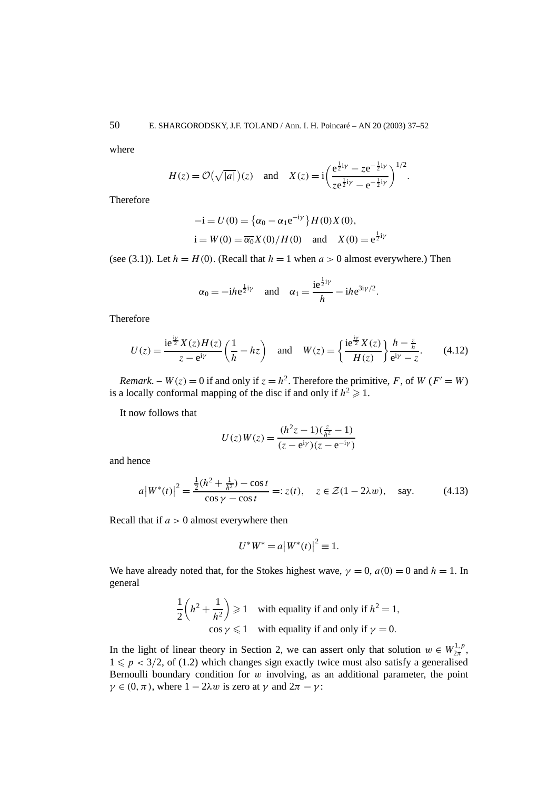50 E. SHARGORODSKY, J.F. TOLAND / Ann. I. H. Poincaré – AN 20 (2003) 37–52

where

$$
H(z) = \mathcal{O}(\sqrt{|a|})(z)
$$
 and  $X(z) = i \left( \frac{e^{\frac{1}{2}i\gamma} - ze^{-\frac{1}{2}i\gamma}}{ze^{\frac{1}{2}i\gamma} - e^{-\frac{1}{2}i\gamma}} \right)^{1/2}.$ 

Therefore

$$
-i = U(0) = {\alpha_0 - \alpha_1 e^{-i\gamma}} H(0)X(0),
$$
  
i = W(0) =  $\overline{\alpha_0}X(0)/H(0)$  and  $X(0) = e^{\frac{1}{2}i\gamma}$ 

(see (3.1)). Let  $h = H(0)$ . (Recall that  $h = 1$  when  $a > 0$  almost everywhere.) Then

$$
\alpha_0 = -i h e^{\frac{1}{2}i\gamma}
$$
 and  $\alpha_1 = \frac{ie^{\frac{1}{2}i\gamma}}{h} - i h e^{3i\gamma/2}$ .

Therefore

$$
U(z) = \frac{\mathrm{i} \mathrm{e}^{\frac{\mathrm{i} \gamma}{2}} X(z) H(z)}{z - \mathrm{e}^{\mathrm{i} \gamma}} \left(\frac{1}{h} - h z\right) \quad \text{and} \quad W(z) = \left\{\frac{\mathrm{i} \mathrm{e}^{\frac{\mathrm{i} \gamma}{2}} X(z)}{H(z)}\right\} \frac{h - \frac{z}{h}}{\mathrm{e}^{\mathrm{i} \gamma} - z}.
$$
 (4.12)

*Remark*. – *W*(*z*) = 0 if and only if  $z = h^2$ . Therefore the primitive, *F*, of *W* (*F'* = *W*) is a locally conformal mapping of the disc if and only if  $h^2 \ge 1$ .

It now follows that

$$
U(z)W(z) = \frac{(h^2z - 1)(\frac{z}{h^2} - 1)}{(z - e^{iy})(z - e^{-iy})}
$$

and hence

$$
a\left|W^*(t)\right|^2 = \frac{\frac{1}{2}(h^2 + \frac{1}{h^2}) - \cos t}{\cos \gamma - \cos t} =: z(t), \quad z \in \mathcal{Z}(1 - 2\lambda w), \quad \text{say.} \tag{4.13}
$$

Recall that if *a >* 0 almost everywhere then

$$
U^*W^* = a|W^*(t)|^2 \equiv 1.
$$

We have already noted that, for the Stokes highest wave,  $\gamma = 0$ ,  $a(0) = 0$  and  $h = 1$ . In general

$$
\frac{1}{2}\left(h^2 + \frac{1}{h^2}\right) \ge 1
$$
 with equality if and only if  $h^2 = 1$ ,  
  $\cos \gamma \le 1$  with equality if and only if  $\gamma = 0$ .

In the light of linear theory in Section 2, we can assert only that solution  $w \in W_{2\pi}^{1,p}$ ,  $1 \leqslant p < 3/2$ , of (1.2) which changes sign exactly twice must also satisfy a generalised Bernoulli boundary condition for *w* involving, as an additional parameter, the point  $\gamma \in (0, \pi)$ , where  $1 - 2\lambda w$  is zero at  $\gamma$  and  $2\pi - \gamma$ :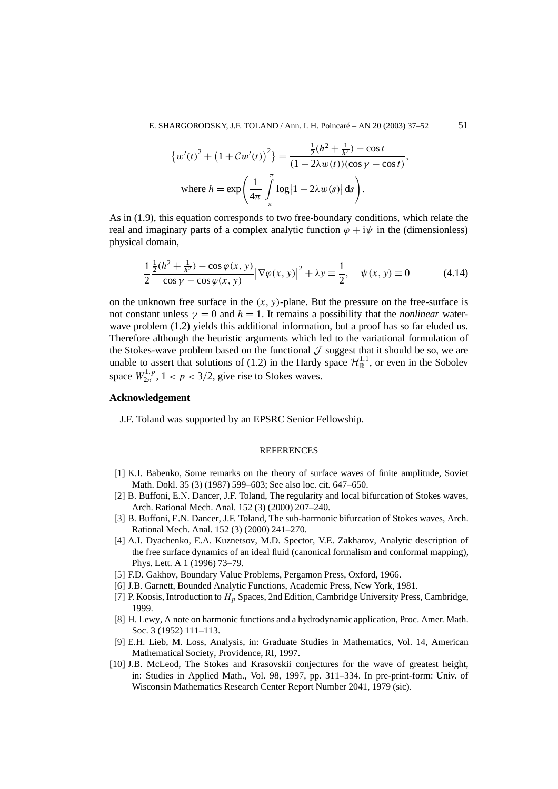$$
\{w'(t)^{2} + (1 + Cw'(t))^{2}\} = \frac{\frac{1}{2}(h^{2} + \frac{1}{h^{2}}) - \cos t}{(1 - 2\lambda w(t))(\cos \gamma - \cos t)},
$$
  
where  $h = \exp\left(\frac{1}{4\pi} \int_{-\pi}^{\pi} \log|1 - 2\lambda w(s)| ds\right).$ 

As in (1.9), this equation corresponds to two free-boundary conditions, which relate the real and imaginary parts of a complex analytic function  $\varphi + i\psi$  in the (dimensionless) physical domain,

$$
\frac{1}{2}\frac{\frac{1}{2}(h^2 + \frac{1}{h^2}) - \cos\varphi(x, y)}{\cos\varphi - \cos\varphi(x, y)} |\nabla\varphi(x, y)|^2 + \lambda y \equiv \frac{1}{2}, \quad \psi(x, y) \equiv 0 \tag{4.14}
$$

on the unknown free surface in the  $(x, y)$ -plane. But the pressure on the free-surface is not constant unless  $\gamma = 0$  and  $h = 1$ . It remains a possibility that the *nonlinear* waterwave problem  $(1.2)$  yields this additional information, but a proof has so far eluded us. Therefore although the heuristic arguments which led to the variational formulation of the Stokes-wave problem based on the functional  $\mathcal J$  suggest that it should be so, we are unable to assert that solutions of (1.2) in the Hardy space  $\mathcal{H}^{1,1}_{\mathbb{R}}$ , or even in the Sobolev space  $W_{2\pi}^{1,p}$ ,  $1 < p < 3/2$ , give rise to Stokes waves.

# **Acknowledgement**

J.F. Toland was supported by an EPSRC Senior Fellowship.

## **REFERENCES**

- [1] K.I. Babenko, Some remarks on the theory of surface waves of finite amplitude, Soviet Math. Dokl. 35 (3) (1987) 599–603; See also loc. cit. 647–650.
- [2] B. Buffoni, E.N. Dancer, J.F. Toland, The regularity and local bifurcation of Stokes waves, Arch. Rational Mech. Anal. 152 (3) (2000) 207–240.
- [3] B. Buffoni, E.N. Dancer, J.F. Toland, The sub-harmonic bifurcation of Stokes waves, Arch. Rational Mech. Anal. 152 (3) (2000) 241–270.
- [4] A.I. Dyachenko, E.A. Kuznetsov, M.D. Spector, V.E. Zakharov, Analytic description of the free surface dynamics of an ideal fluid (canonical formalism and conformal mapping), Phys. Lett. A 1 (1996) 73–79.
- [5] F.D. Gakhov, Boundary Value Problems, Pergamon Press, Oxford, 1966.
- [6] J.B. Garnett, Bounded Analytic Functions, Academic Press, New York, 1981.
- [7] P. Koosis, Introduction to *Hp* Spaces, 2nd Edition, Cambridge University Press, Cambridge, 1999.
- [8] H. Lewy, A note on harmonic functions and a hydrodynamic application, Proc. Amer. Math. Soc. 3 (1952) 111–113.
- [9] E.H. Lieb, M. Loss, Analysis, in: Graduate Studies in Mathematics, Vol. 14, American Mathematical Society, Providence, RI, 1997.
- [10] J.B. McLeod, The Stokes and Krasovskii conjectures for the wave of greatest height, in: Studies in Applied Math., Vol. 98, 1997, pp. 311–334. In pre-print-form: Univ. of Wisconsin Mathematics Research Center Report Number 2041, 1979 (sic).